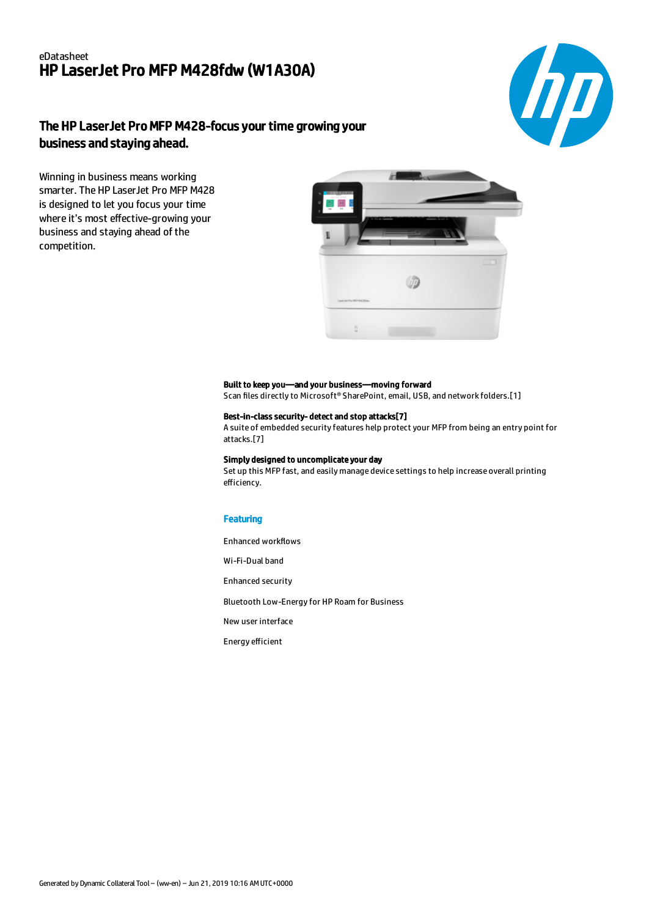### eDatasheet HP LaserJet Pro MFP M428fdw (W1A30A)



# The HP LaserJet Pro MFP M428-focus your time growing your business and staying ahead.

Winning in business means working smarter. The HP LaserJet Pro MFP M428 is designed to let you focus your time where it's most effective-growing your business and staying ahead of the competition.



### Built to keep you—and your business—moving forward

Scan files directly to Microsoft® SharePoint, email, USB, and network folders.[1]

#### Best-in-class security- detect and stop attacks[7]

A suite of embedded security features help protect your MFP from being an entry point for attacks.[7]

#### Simply designed to uncomplicate your day

Set up this MFP fast, and easily manage device settings to help increase overall printing efficiency.

### **Featuring**

Enhanced workflows

Wi-Fi-Dual band

Enhanced security

Bluetooth Low-Energy for HP Roam for Business

New user interface

Energy efficient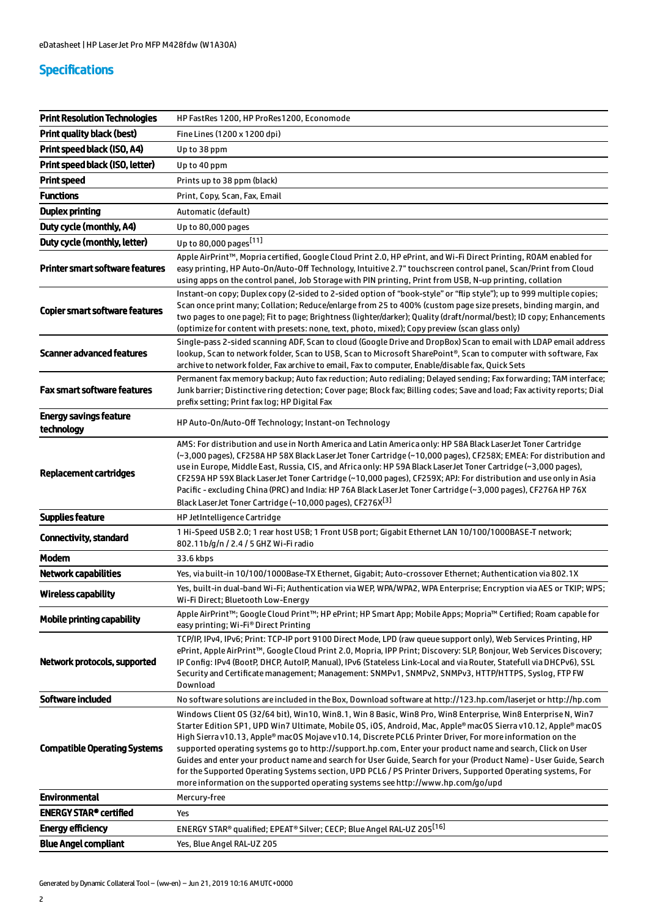## Specifications

| <b>Print Resolution Technologies</b>        | HP FastRes 1200, HP ProRes1200, Economode                                                                                                                                                                                                                                                                                                                                                                                                                                                                                                                                                                                                                                                                                                                                           |
|---------------------------------------------|-------------------------------------------------------------------------------------------------------------------------------------------------------------------------------------------------------------------------------------------------------------------------------------------------------------------------------------------------------------------------------------------------------------------------------------------------------------------------------------------------------------------------------------------------------------------------------------------------------------------------------------------------------------------------------------------------------------------------------------------------------------------------------------|
| <b>Print quality black (best)</b>           | Fine Lines (1200 x 1200 dpi)                                                                                                                                                                                                                                                                                                                                                                                                                                                                                                                                                                                                                                                                                                                                                        |
| Print speed black (ISO, A4)                 | Up to 38 ppm                                                                                                                                                                                                                                                                                                                                                                                                                                                                                                                                                                                                                                                                                                                                                                        |
| Print speed black (ISO, letter)             | Up to 40 ppm                                                                                                                                                                                                                                                                                                                                                                                                                                                                                                                                                                                                                                                                                                                                                                        |
| <b>Print speed</b>                          | Prints up to 38 ppm (black)                                                                                                                                                                                                                                                                                                                                                                                                                                                                                                                                                                                                                                                                                                                                                         |
| <b>Functions</b>                            | Print, Copy, Scan, Fax, Email                                                                                                                                                                                                                                                                                                                                                                                                                                                                                                                                                                                                                                                                                                                                                       |
| <b>Duplex printing</b>                      | Automatic (default)                                                                                                                                                                                                                                                                                                                                                                                                                                                                                                                                                                                                                                                                                                                                                                 |
| Duty cycle (monthly, A4)                    | Up to 80,000 pages                                                                                                                                                                                                                                                                                                                                                                                                                                                                                                                                                                                                                                                                                                                                                                  |
| Duty cycle (monthly, letter)                | Up to 80,000 pages <sup>[11]</sup>                                                                                                                                                                                                                                                                                                                                                                                                                                                                                                                                                                                                                                                                                                                                                  |
| <b>Printer smart software features</b>      | Apple AirPrint™, Mopria certified, Google Cloud Print 2.0, HP ePrint, and Wi-Fi Direct Printing, ROAM enabled for<br>easy printing, HP Auto-On/Auto-Off Technology, Intuitive 2.7" touchscreen control panel, Scan/Print from Cloud<br>using apps on the control panel, Job Storage with PIN printing, Print from USB, N-up printing, collation                                                                                                                                                                                                                                                                                                                                                                                                                                     |
| <b>Copier smart software features</b>       | Instant-on copy; Duplex copy (2-sided to 2-sided option of "book-style" or "flip style"); up to 999 multiple copies;<br>Scan once print many; Collation; Reduce/enlarge from 25 to 400% (custom page size presets, binding margin, and<br>two pages to one page); Fit to page; Brightness (lighter/darker); Quality (draft/normal/best); ID copy; Enhancements<br>(optimize for content with presets: none, text, photo, mixed); Copy preview (scan glass only)                                                                                                                                                                                                                                                                                                                     |
| <b>Scanner advanced features</b>            | Single-pass 2-sided scanning ADF, Scan to cloud (Google Drive and DropBox) Scan to email with LDAP email address<br>lookup, Scan to network folder, Scan to USB, Scan to Microsoft SharePoint®, Scan to computer with software, Fax<br>archive to network folder, Fax archive to email, Fax to computer, Enable/disable fax, Quick Sets                                                                                                                                                                                                                                                                                                                                                                                                                                             |
| <b>Fax smart software features</b>          | Permanent fax memory backup; Auto fax reduction; Auto redialing; Delayed sending; Fax forwarding; TAM interface;<br>Junk barrier; Distinctive ring detection; Cover page; Block fax; Billing codes; Save and load; Fax activity reports; Dial<br>prefix setting; Print fax log; HP Digital Fax                                                                                                                                                                                                                                                                                                                                                                                                                                                                                      |
| <b>Energy savings feature</b><br>technology | HP Auto-On/Auto-Off Technology; Instant-on Technology                                                                                                                                                                                                                                                                                                                                                                                                                                                                                                                                                                                                                                                                                                                               |
| <b>Replacement cartridges</b>               | AMS: For distribution and use in North America and Latin America only: HP 58A Black LaserJet Toner Cartridge<br>(~3,000 pages), CF258A HP 58X Black LaserJet Toner Cartridge (~10,000 pages), CF258X; EMEA: For distribution and<br>use in Europe, Middle East, Russia, CIS, and Africa only: HP 59A Black LaserJet Toner Cartridge (~3,000 pages),<br>CF259A HP 59X Black LaserJet Toner Cartridge (~10,000 pages), CF259X; APJ: For distribution and use only in Asia<br>Pacific - excluding China (PRC) and India: HP 76A Black LaserJet Toner Cartridge (~3,000 pages), CF276A HP 76X<br>Black LaserJet Toner Cartridge (~10,000 pages), CF276X <sup>[3]</sup>                                                                                                                  |
| <b>Supplies feature</b>                     | HP JetIntelligence Cartridge                                                                                                                                                                                                                                                                                                                                                                                                                                                                                                                                                                                                                                                                                                                                                        |
| Connectivity, standard                      | 1 Hi-Speed USB 2.0; 1 rear host USB; 1 Front USB port; Gigabit Ethernet LAN 10/100/1000BASE-T network;<br>802.11b/g/n / 2.4 / 5 GHZ Wi-Fi radio                                                                                                                                                                                                                                                                                                                                                                                                                                                                                                                                                                                                                                     |
| <b>Modem</b>                                | 33.6 kbps                                                                                                                                                                                                                                                                                                                                                                                                                                                                                                                                                                                                                                                                                                                                                                           |
| <b>Network capabilities</b>                 | Yes, via built-in 10/100/1000Base-TX Ethernet, Gigabit; Auto-crossover Ethernet; Authentication via 802.1X                                                                                                                                                                                                                                                                                                                                                                                                                                                                                                                                                                                                                                                                          |
| <b>Wireless capability</b>                  | Yes, built-in dual-band Wi-Fi; Authentication via WEP, WPA/WPA2, WPA Enterprise; Encryption via AES or TKIP; WPS;<br>Wi-Fi Direct; Bluetooth Low-Energy                                                                                                                                                                                                                                                                                                                                                                                                                                                                                                                                                                                                                             |
| <b>Mobile printing capability</b>           | Apple AirPrint™; Google Cloud Print™; HP ePrint; HP Smart App; Mobile Apps; Mopria™ Certified; Roam capable for<br>easy printing; Wi-Fi® Direct Printing                                                                                                                                                                                                                                                                                                                                                                                                                                                                                                                                                                                                                            |
| Network protocols, supported                | TCP/IP, IPv4, IPv6; Print: TCP-IP port 9100 Direct Mode, LPD (raw queue support only), Web Services Printing, HP<br>ePrint, Apple AirPrint™, Google Cloud Print 2.0, Mopria, IPP Print; Discovery: SLP, Bonjour, Web Services Discovery;<br>IP Config: IPv4 (BootP, DHCP, AutoIP, Manual), IPv6 (Stateless Link-Local and via Router, Statefull via DHCPv6), SSL<br>Security and Certificate management; Management: SNMPv1, SNMPv2, SNMPv3, HTTP/HTTPS, Syslog, FTP FW<br>Download                                                                                                                                                                                                                                                                                                 |
| Software included                           | No software solutions are included in the Box, Download software at http://123.hp.com/laserjet or http://hp.com                                                                                                                                                                                                                                                                                                                                                                                                                                                                                                                                                                                                                                                                     |
| <b>Compatible Operating Systems</b>         | Windows Client OS (32/64 bit), Win10, Win8.1, Win 8 Basic, Win8 Pro, Win8 Enterprise, Win8 Enterprise N, Win7<br>Starter Edition SP1, UPD Win7 Ultimate, Mobile OS, iOS, Android, Mac, Apple® macOS Sierra v10.12, Apple® macOS<br>High Sierra v10.13, Apple® macOS Mojave v10.14, Discrete PCL6 Printer Driver, For more information on the<br>supported operating systems go to http://support.hp.com, Enter your product name and search, Click on User<br>Guides and enter your product name and search for User Guide, Search for your (Product Name) - User Guide, Search<br>for the Supported Operating Systems section, UPD PCL6 / PS Printer Drivers, Supported Operating systems, For<br>more information on the supported operating systems see http://www.hp.com/go/upd |
| <b>Environmental</b>                        | Mercury-free                                                                                                                                                                                                                                                                                                                                                                                                                                                                                                                                                                                                                                                                                                                                                                        |
| <b>ENERGY STAR® certified</b>               | Yes                                                                                                                                                                                                                                                                                                                                                                                                                                                                                                                                                                                                                                                                                                                                                                                 |
| <b>Energy efficiency</b>                    | ENERGY STAR® qualified; EPEAT® Silver; CECP; Blue Angel RAL-UZ 205 <sup>[16]</sup>                                                                                                                                                                                                                                                                                                                                                                                                                                                                                                                                                                                                                                                                                                  |
| <b>Blue Angel compliant</b>                 | Yes, Blue Angel RAL-UZ 205                                                                                                                                                                                                                                                                                                                                                                                                                                                                                                                                                                                                                                                                                                                                                          |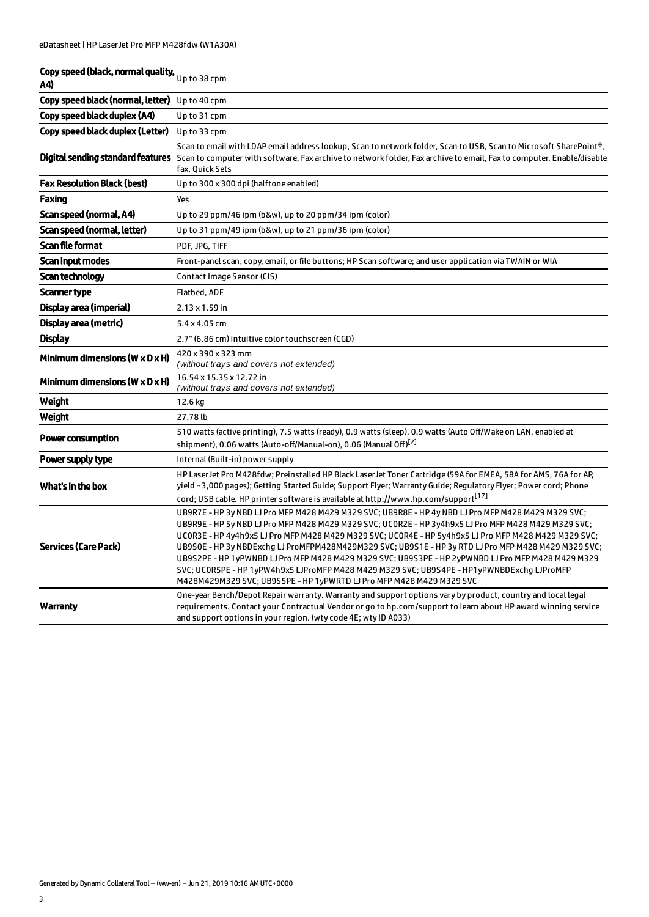| Copy speed (black, normal quality, Up to 38 cpm<br>A4) |                                                                                                                                                                                                                                                                                                                                                                                                                                                                                                                                                                                                                                                                                                          |
|--------------------------------------------------------|----------------------------------------------------------------------------------------------------------------------------------------------------------------------------------------------------------------------------------------------------------------------------------------------------------------------------------------------------------------------------------------------------------------------------------------------------------------------------------------------------------------------------------------------------------------------------------------------------------------------------------------------------------------------------------------------------------|
| Copy speed black (normal, letter) Up to 40 cpm         |                                                                                                                                                                                                                                                                                                                                                                                                                                                                                                                                                                                                                                                                                                          |
| Copy speed black duplex (A4)                           | Up to 31 cpm                                                                                                                                                                                                                                                                                                                                                                                                                                                                                                                                                                                                                                                                                             |
| Copy speed black duplex (Letter)                       | Up to 33 cpm                                                                                                                                                                                                                                                                                                                                                                                                                                                                                                                                                                                                                                                                                             |
|                                                        | Scan to email with LDAP email address lookup, Scan to network folder, Scan to USB, Scan to Microsoft SharePoint®,<br><b>Digital sending standard features</b> Scan to computer with software, Fax archive to network folder, Fax archive to email, Fax to computer, Enable/disable<br>fax, Quick Sets                                                                                                                                                                                                                                                                                                                                                                                                    |
| <b>Fax Resolution Black (best)</b>                     | Up to 300 x 300 dpi (halftone enabled)                                                                                                                                                                                                                                                                                                                                                                                                                                                                                                                                                                                                                                                                   |
| Faxing                                                 | Yes                                                                                                                                                                                                                                                                                                                                                                                                                                                                                                                                                                                                                                                                                                      |
| Scan speed (normal, A4)                                | Up to 29 ppm/46 ipm (b&w), up to 20 ppm/34 ipm (color)                                                                                                                                                                                                                                                                                                                                                                                                                                                                                                                                                                                                                                                   |
| Scan speed (normal, letter)                            | Up to 31 ppm/49 ipm (b&w), up to 21 ppm/36 ipm (color)                                                                                                                                                                                                                                                                                                                                                                                                                                                                                                                                                                                                                                                   |
| <b>Scan file format</b>                                | PDF, JPG, TIFF                                                                                                                                                                                                                                                                                                                                                                                                                                                                                                                                                                                                                                                                                           |
| Scan input modes                                       | Front-panel scan, copy, email, or file buttons; HP Scan software; and user application via TWAIN or WIA                                                                                                                                                                                                                                                                                                                                                                                                                                                                                                                                                                                                  |
| Scan technology                                        | Contact Image Sensor (CIS)                                                                                                                                                                                                                                                                                                                                                                                                                                                                                                                                                                                                                                                                               |
| Scanner type                                           | Flatbed, ADF                                                                                                                                                                                                                                                                                                                                                                                                                                                                                                                                                                                                                                                                                             |
| Display area (imperial)                                | $2.13 \times 1.59$ in                                                                                                                                                                                                                                                                                                                                                                                                                                                                                                                                                                                                                                                                                    |
| Display area (metric)                                  | 5.4 x 4.05 cm                                                                                                                                                                                                                                                                                                                                                                                                                                                                                                                                                                                                                                                                                            |
| <b>Display</b>                                         | 2.7" (6.86 cm) intuitive color touchscreen (CGD)                                                                                                                                                                                                                                                                                                                                                                                                                                                                                                                                                                                                                                                         |
| Minimum dimensions (W $\times$ D $\times$ H)           | 420 x 390 x 323 mm<br>(without trays and covers not extended)                                                                                                                                                                                                                                                                                                                                                                                                                                                                                                                                                                                                                                            |
| Minimum dimensions ( $W \times D \times H$ )           | 16.54 x 15.35 x 12.72 in<br>(without trays and covers not extended)                                                                                                                                                                                                                                                                                                                                                                                                                                                                                                                                                                                                                                      |
| Weight                                                 | 12.6 kg                                                                                                                                                                                                                                                                                                                                                                                                                                                                                                                                                                                                                                                                                                  |
| Weight                                                 | 27.78 lb                                                                                                                                                                                                                                                                                                                                                                                                                                                                                                                                                                                                                                                                                                 |
| <b>Power consumption</b>                               | 510 watts (active printing), 7.5 watts (ready), 0.9 watts (sleep), 0.9 watts (Auto Off/Wake on LAN, enabled at<br>shipment), 0.06 watts (Auto-off/Manual-on), 0.06 (Manual Off) <sup>[2]</sup>                                                                                                                                                                                                                                                                                                                                                                                                                                                                                                           |
| Power supply type                                      | Internal (Built-in) power supply                                                                                                                                                                                                                                                                                                                                                                                                                                                                                                                                                                                                                                                                         |
| What's in the box                                      | HP LaserJet Pro M428fdw; Preinstalled HP Black LaserJet Toner Cartridge (59A for EMEA, 58A for AMS, 76A for AP,<br>yield ~3,000 pages); Getting Started Guide; Support Flyer; Warranty Guide; Regulatory Flyer; Power cord; Phone<br>cord; USB cable. HP printer software is available at http://www.hp.com/support <sup>[17]</sup>                                                                                                                                                                                                                                                                                                                                                                      |
| <b>Services (Care Pack)</b>                            | UB9R7E - HP 3y NBD LJ Pro MFP M428 M429 M329 SVC; UB9R8E - HP 4y NBD LJ Pro MFP M428 M429 M329 SVC;<br>UB9R9E - HP 5y NBD LJ Pro MFP M428 M429 M329 SVC; UCOR2E - HP 3y4h9x5 LJ Pro MFP M428 M429 M329 SVC;<br>UCOR3E - HP 4y4h9x5 LJ Pro MFP M428 M429 M329 SVC; UCOR4E - HP 5y4h9x5 LJ Pro MFP M428 M429 M329 SVC;<br>UB9S0E - HP 3y NBDExchg LJ ProMFPM428M429M329 SVC; UB9S1E - HP 3y RTD LJ Pro MFP M428 M429 M329 SVC;<br>UB9S2PE - HP 1yPWNBD LJ Pro MFP M428 M429 M329 SVC; UB9S3PE - HP 2yPWNBD LJ Pro MFP M428 M429 M329<br>SVC; UCOR5PE - HP 1yPW4h9x5 LJProMFP M428 M429 M329 SVC; UB9S4PE - HP1yPWNBDExchg LJProMFP<br>M428M429M329 SVC; UB9S5PE - HP 1yPWRTD LJ Pro MFP M428 M429 M329 SVC |
| <b>Warranty</b>                                        | One-year Bench/Depot Repair warranty. Warranty and support options vary by product, country and local legal<br>requirements. Contact your Contractual Vendor or go to hp.com/support to learn about HP award winning service<br>and support options in your region. (wty code 4E; wty ID A033)                                                                                                                                                                                                                                                                                                                                                                                                           |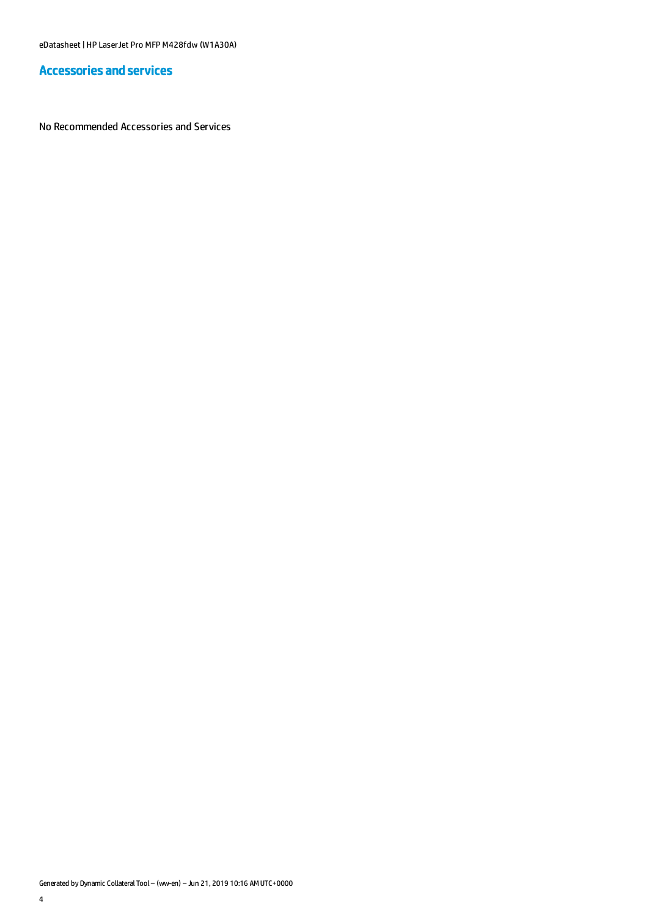### Accessories and services

No Recommended Accessories and Services